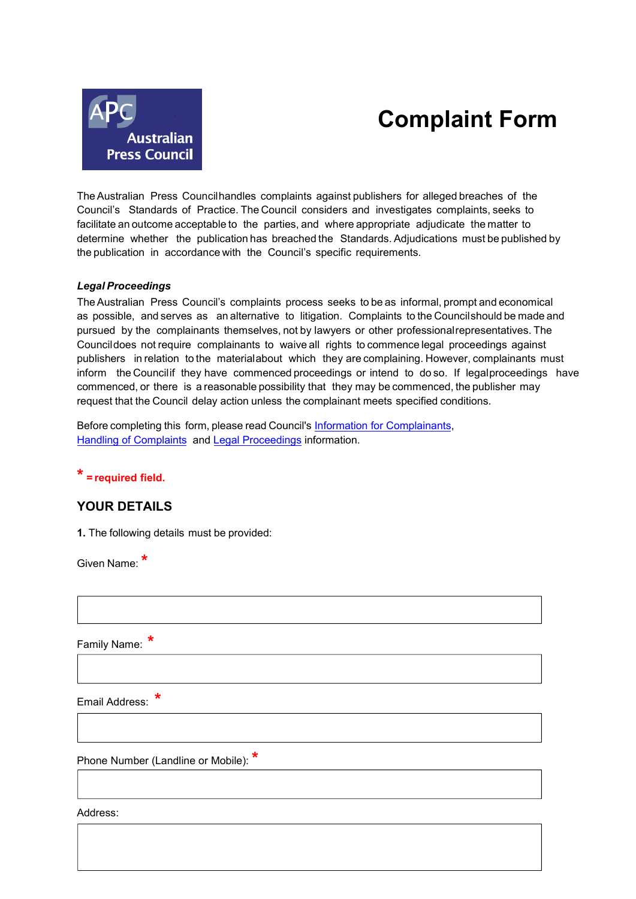# **Complaint Form**



The Australian Press Council handles complaints against publishers for alleged breaches of the Council's Standards of Practice. The Council considers and investigates complaints, seeks to facilitate an outcome acceptable to the parties, and where appropriate adjudicate the matter to determine whether the publication has breached the Standards. Adjudications must be published by the publication in accordance with the Council's specific requirements.

#### *Legal Proceedings*

The Australian Press Council's complaints process seeks to be as informal, prompt and economical as possible, and serves as an alternative to litigation. Complaints to the Council should be made and pursued by the complainants themselves, not by lawyers or other professional representatives. The Council does not require complainants to waive all rights to commence legal proceedings against publishers in relation to the material about which they are complaining. However, complainants must inform the Councilif they have commenced proceedings or intend to do so. If legal proceedings have commenced, or there is a reasonable possibility that they may be commenced, the publisher may request that the Council delay action unless the complainant meets specified conditions.

Before completing this form, please read Council's [Information for Complainants](https://www.presscouncil.org.au/complaints/information-for-complainants/), [Handling of Complaints](https://www.presscouncil.org.au/complaints/handling-of-complaints/) and [Legal Proceedings](https://www.presscouncil.org.au/wp-content/uploads/2021/11/Fact_Sheet-Legal_proceedings_Final_11-03-16.pdf) information.

## **\* = required field.**

#### **YOUR DETAILS**

**1.** The following details must be provided:

Given Name: **\***

Family Name: **\***

Email Address: **\***

Phone Number (Landline or Mobile):**\***

Address: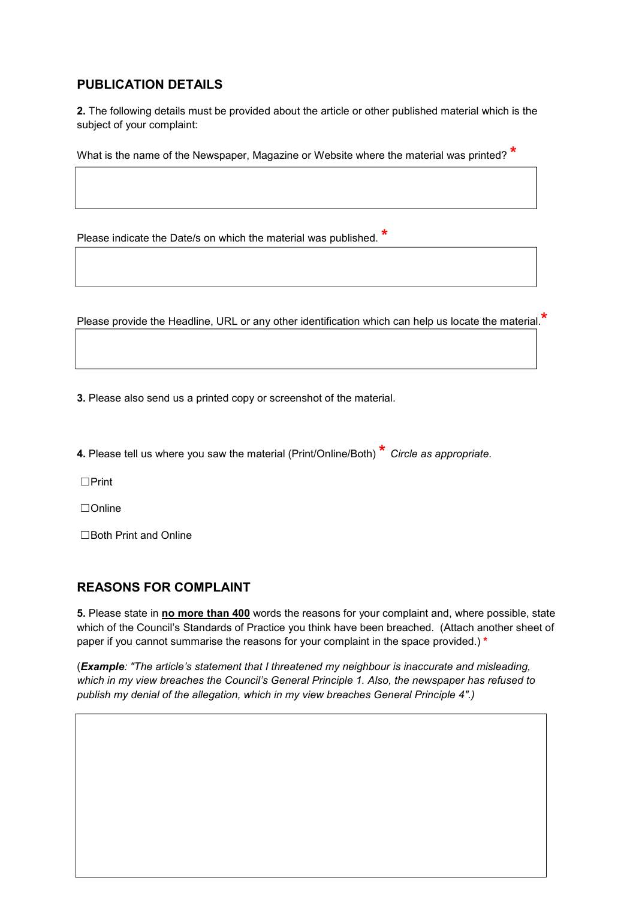### **PUBLICATION DETAILS**

**2.** The following details must be provided about the article or other published material which is the subject of your complaint:

What is the name of the Newspaper, Magazine or Website where the material was printed? **\***

Please indicate the Date/s on which the material was published.**\***

Please provide the Headline, URL or any other identification which can help us locate the material.**\*** 

**3.** Please also send us a printed copy or screenshot of the material.

**4.** Please tell us where you saw the material (Print/Online/Both) **\*** *Circle as appropriate.*

☐Print

☐Online

☐Both Print and Online

#### **REASONS FOR COMPLAINT**

**5.** Please state in **no more than 400** words the reasons for your complaint and, where possible, state which of the Council's Standards of Practice you think have been breached. (Attach another sheet of paper if you cannot summarise the reasons for your complaint in the space provided.) **\***

(*Example: "The article's statement that I threatened my neighbour is inaccurate and misleading, which in my view breaches the Council's General Principle 1. Also, the newspaper has refused to publish my denial of the allegation, which in my view breaches General Principle 4".)*